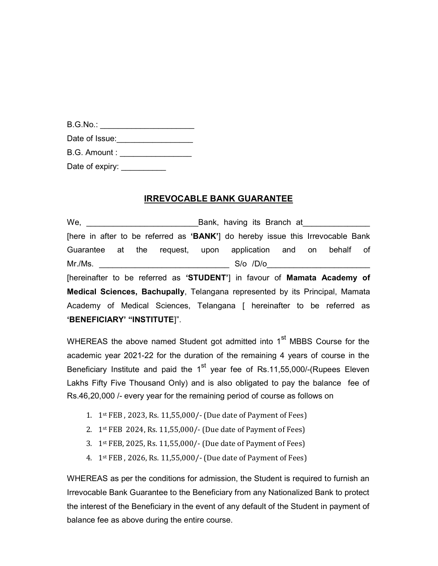| B.G.No.        |  |
|----------------|--|
| Date of Issue: |  |

B.G. Amount : \_\_\_\_\_\_\_\_\_\_\_\_\_\_\_\_\_\_\_

Date of expiry: \_\_\_\_\_\_\_\_\_\_\_\_

## IRREVOCABLE BANK GUARANTEE

We, \_\_\_\_\_\_\_\_\_\_\_\_\_\_\_\_\_\_\_\_\_\_\_\_\_Bank, having its Branch at\_\_\_\_\_\_\_\_\_\_\_\_\_\_\_ [here in after to be referred as 'BANK'] do hereby issue this Irrevocable Bank Guarantee at the request, upon application and on behalf of Mr./Ms. \_\_\_\_\_\_\_\_\_\_\_\_\_\_\_\_\_\_\_\_\_\_\_\_\_\_\_\_\_ S/o /D/o\_\_\_\_\_\_\_\_\_\_\_\_\_\_\_\_\_\_\_\_\_\_\_ [hereinafter to be referred as 'STUDENT'] in favour of Mamata Academy of Medical Sciences, Bachupally, Telangana represented by its Principal, Mamata Academy of Medical Sciences, Telangana [ hereinafter to be referred as 'BENEFICIARY' "INSTITUTE]".

WHEREAS the above named Student got admitted into  $1<sup>st</sup>$  MBBS Course for the academic year 2021-22 for the duration of the remaining 4 years of course in the Beneficiary Institute and paid the  $1<sup>st</sup>$  year fee of Rs.11,55,000/-(Rupees Eleven Lakhs Fifty Five Thousand Only) and is also obligated to pay the balance fee of Rs.46,20,000 /- every year for the remaining period of course as follows on

- 1. 1st FEB , 2023, Rs. 11,55,000/- (Due date of Payment of Fees)
- 2. 1st FEB 2024, Rs. 11,55,000/- (Due date of Payment of Fees)
- 3. 1st FEB, 2025, Rs. 11,55,000/- (Due date of Payment of Fees)
- 4. 1st FEB , 2026, Rs. 11,55,000/- (Due date of Payment of Fees)

WHEREAS as per the conditions for admission, the Student is required to furnish an Irrevocable Bank Guarantee to the Beneficiary from any Nationalized Bank to protect the interest of the Beneficiary in the event of any default of the Student in payment of balance fee as above during the entire course.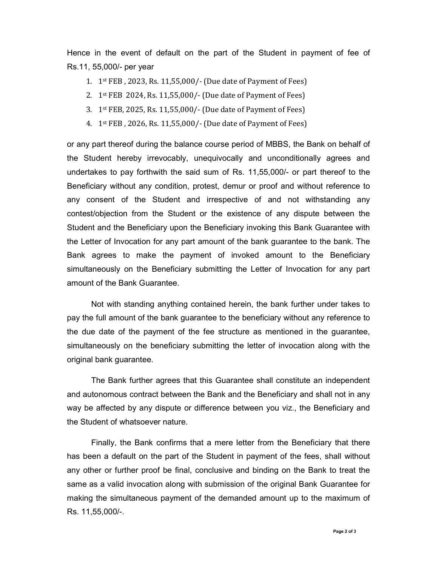Hence in the event of default on the part of the Student in payment of fee of Rs.11, 55,000/- per year

- 1. 1st FEB , 2023, Rs. 11,55,000/- (Due date of Payment of Fees)
- 2. 1st FEB 2024, Rs. 11,55,000/- (Due date of Payment of Fees)
- 3. 1st FEB, 2025, Rs. 11,55,000/- (Due date of Payment of Fees)
- 4. 1st FEB , 2026, Rs. 11,55,000/- (Due date of Payment of Fees)

or any part thereof during the balance course period of MBBS, the Bank on behalf of the Student hereby irrevocably, unequivocally and unconditionally agrees and undertakes to pay forthwith the said sum of Rs. 11,55,000/- or part thereof to the Beneficiary without any condition, protest, demur or proof and without reference to any consent of the Student and irrespective of and not withstanding any contest/objection from the Student or the existence of any dispute between the Student and the Beneficiary upon the Beneficiary invoking this Bank Guarantee with the Letter of Invocation for any part amount of the bank guarantee to the bank. The Bank agrees to make the payment of invoked amount to the Beneficiary simultaneously on the Beneficiary submitting the Letter of Invocation for any part amount of the Bank Guarantee.

Not with standing anything contained herein, the bank further under takes to pay the full amount of the bank guarantee to the beneficiary without any reference to the due date of the payment of the fee structure as mentioned in the guarantee, simultaneously on the beneficiary submitting the letter of invocation along with the original bank guarantee.

The Bank further agrees that this Guarantee shall constitute an independent and autonomous contract between the Bank and the Beneficiary and shall not in any way be affected by any dispute or difference between you viz., the Beneficiary and the Student of whatsoever nature.

Finally, the Bank confirms that a mere letter from the Beneficiary that there has been a default on the part of the Student in payment of the fees, shall without any other or further proof be final, conclusive and binding on the Bank to treat the same as a valid invocation along with submission of the original Bank Guarantee for making the simultaneous payment of the demanded amount up to the maximum of Rs. 11,55,000/-.